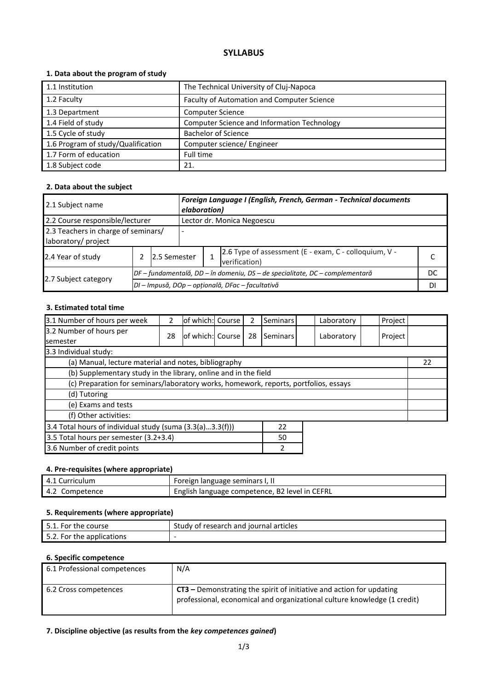# **SYLLABUS**

## **1. Data about the program of study**

| 1.1 Institution                    | The Technical University of Cluj-Napoca            |
|------------------------------------|----------------------------------------------------|
| 1.2 Faculty                        | Faculty of Automation and Computer Science         |
| 1.3 Department                     | <b>Computer Science</b>                            |
| 1.4 Field of study                 | <b>Computer Science and Information Technology</b> |
| 1.5 Cycle of study                 | <b>Bachelor of Science</b>                         |
| 1.6 Program of study/Qualification | Computer science/ Engineer                         |
| 1.7 Form of education              | Full time                                          |
| 1.8 Subject code                   | 21.                                                |

### **2. Data about the subject**

| 2.1 Subject name                                           |  |                                                                              | Foreign Language I (English, French, German - Technical documents<br>elaboration) |                            |                                                                        |    |  |  |
|------------------------------------------------------------|--|------------------------------------------------------------------------------|-----------------------------------------------------------------------------------|----------------------------|------------------------------------------------------------------------|----|--|--|
| 2.2 Course responsible/lecturer                            |  |                                                                              |                                                                                   | Lector dr. Monica Negoescu |                                                                        |    |  |  |
| 2.3 Teachers in charge of seminars/<br>laboratory/ project |  |                                                                              |                                                                                   |                            |                                                                        |    |  |  |
| 2.4 Year of study<br>12.5 Semester                         |  |                                                                              |                                                                                   |                            | 2.6 Type of assessment (E - exam, C - colloquium, V -<br>verification) |    |  |  |
|                                                            |  | DF – fundamentală, DD – în domeniu, DS – de specialitate, DC – complementară |                                                                                   |                            |                                                                        | DC |  |  |
| 2.7 Subject category                                       |  | DI - Impusă, DOp - opțională, DFac - facultativă                             |                                                                                   |                            |                                                                        |    |  |  |

### **3. Estimated total time**

| 3.1 Number of hours per week                                                         | 2  | of which: Course |  |    | Seminars |  | Laboratory | Project |  |    |
|--------------------------------------------------------------------------------------|----|------------------|--|----|----------|--|------------|---------|--|----|
| 3.2 Number of hours per                                                              | 28 | of which: Course |  | 28 | Seminars |  | Laboratory | Project |  |    |
| semester                                                                             |    |                  |  |    |          |  |            |         |  |    |
| 3.3 Individual study:                                                                |    |                  |  |    |          |  |            |         |  |    |
| (a) Manual, lecture material and notes, bibliography                                 |    |                  |  |    |          |  |            |         |  | 22 |
| (b) Supplementary study in the library, online and in the field                      |    |                  |  |    |          |  |            |         |  |    |
| (c) Preparation for seminars/laboratory works, homework, reports, portfolios, essays |    |                  |  |    |          |  |            |         |  |    |
| (d) Tutoring                                                                         |    |                  |  |    |          |  |            |         |  |    |
| (e) Exams and tests                                                                  |    |                  |  |    |          |  |            |         |  |    |
| (f) Other activities:                                                                |    |                  |  |    |          |  |            |         |  |    |
| 3.4 Total hours of individual study (suma (3.3(a)3.3(f)))<br>22                      |    |                  |  |    |          |  |            |         |  |    |
| 3.5 Total hours per semester (3.2+3.4)<br>50                                         |    |                  |  |    |          |  |            |         |  |    |
| 3.6 Number of credit points<br>2                                                     |    |                  |  |    |          |  |            |         |  |    |

#### **4. Pre-requisites (where appropriate)**

| 4.1 Curriculum | Foreign language seminars I, II                |
|----------------|------------------------------------------------|
| 4.2 Competence | English language competence, B2 level in CEFRL |

### **5. Requirements (where appropriate)**

| 5.1. For the course       | Study of research and journal articles |
|---------------------------|----------------------------------------|
| 5.2. For the applications | $\overline{\phantom{0}}$               |

#### **6. Specific competence**

| 6.1 Professional competences | N/A                                                                                                                                                |
|------------------------------|----------------------------------------------------------------------------------------------------------------------------------------------------|
| 6.2 Cross competences        | $CT3$ – Demonstrating the spirit of initiative and action for updating<br>professional, economical and organizational culture knowledge (1 credit) |

#### **7. Discipline objective (as results from the** *key competences gained***)**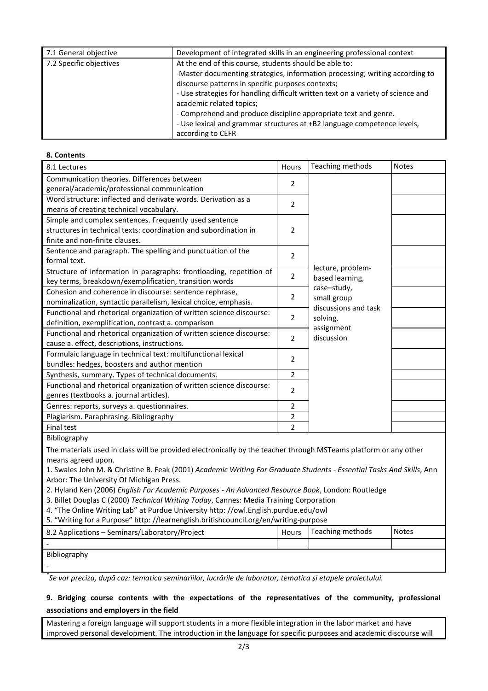| 7.1 General objective   | Development of integrated skills in an engineering professional context          |
|-------------------------|----------------------------------------------------------------------------------|
| 7.2 Specific objectives | At the end of this course, students should be able to:                           |
|                         | -Master documenting strategies, information processing; writing according to     |
|                         | discourse patterns in specific purposes contexts;                                |
|                         | - Use strategies for handling difficult written text on a variety of science and |
|                         | academic related topics;                                                         |
|                         | - Comprehend and produce discipline appropriate text and genre.                  |
|                         | - Use lexical and grammar structures at +B2 language competence levels,          |
|                         | according to CEFR                                                                |

#### **8. Contents**

| 8.1 Lectures                                                         | Hours          | Teaching methods                    | <b>Notes</b> |
|----------------------------------------------------------------------|----------------|-------------------------------------|--------------|
| Communication theories. Differences between                          |                |                                     |              |
| general/academic/professional communication                          | 2              |                                     |              |
| Word structure: inflected and derivate words. Derivation as a        | $\overline{2}$ |                                     |              |
| means of creating technical vocabulary.                              |                |                                     |              |
| Simple and complex sentences. Frequently used sentence               |                |                                     |              |
| structures in technical texts: coordination and subordination in     | $\overline{2}$ |                                     |              |
| finite and non-finite clauses.                                       |                |                                     |              |
| Sentence and paragraph. The spelling and punctuation of the          | 2              |                                     |              |
| formal text.                                                         |                |                                     |              |
| Structure of information in paragraphs: frontloading, repetition of  | 2              | lecture, problem-                   |              |
| key terms, breakdown/exemplification, transition words               |                | based learning,                     |              |
| Cohesion and coherence in discourse: sentence rephrase,              | 2              | case-study,                         |              |
| nominalization, syntactic parallelism, lexical choice, emphasis.     |                | small group<br>discussions and task |              |
| Functional and rhetorical organization of written science discourse: | 2              | solving,                            |              |
| definition, exemplification, contrast a. comparison                  |                | assignment                          |              |
| Functional and rhetorical organization of written science discourse: | 2              | discussion                          |              |
| cause a. effect, descriptions, instructions.                         |                |                                     |              |
| Formulaic language in technical text: multifunctional lexical        | 2              |                                     |              |
| bundles: hedges, boosters and author mention                         |                |                                     |              |
| Synthesis, summary. Types of technical documents.                    | $\overline{2}$ |                                     |              |
| Functional and rhetorical organization of written science discourse: | 2              |                                     |              |
| genres (textbooks a. journal articles).                              |                |                                     |              |
| Genres: reports, surveys a. questionnaires.                          | $\overline{2}$ |                                     |              |
| Plagiarism. Paraphrasing. Bibliography                               | 2              |                                     |              |
| <b>Final test</b>                                                    | 2              |                                     |              |

Bibliography

The materials used in class will be provided electronically by the teacher through MSTeams platform or any other means agreed upon.

1. Swales John M. & Christine B. Feak (2001) *Academic Writing For Graduate Students - Essential Tasks And Skills*, Ann Arbor: The University Of Michigan Press.

2. Hyland Ken (2006) *English For Academic Purposes - An Advanced Resource Book*, London: Routledge

- 3. Billet Douglas C (2000) *Technical Writing Today*, Cannes: Media Training Corporation
- 4. "The Online Writing Lab" at Purdue University http: //owl.English.purdue.edu/owl
- 5. "Writing for a Purpose" http: //learnenglish.britishcouncil.org/en/writing-purpose

| 8.2 Applications - Seminars/Laboratory/Project | Hours | Teaching methods | <b>Notes</b> |
|------------------------------------------------|-------|------------------|--------------|
|                                                |       |                  |              |
| Bibliography                                   |       |                  |              |
|                                                |       |                  |              |

*\* Se vor preciza, după caz: tematica seminariilor, lucrările de laborator, tematica și etapele proiectului.*

## **9. Bridging course contents with the expectations of the representatives of the community, professional associations and employers in the field**

Mastering a foreign language will support students in a more flexible integration in the labor market and have improved personal development. The introduction in the language for specific purposes and academic discourse will